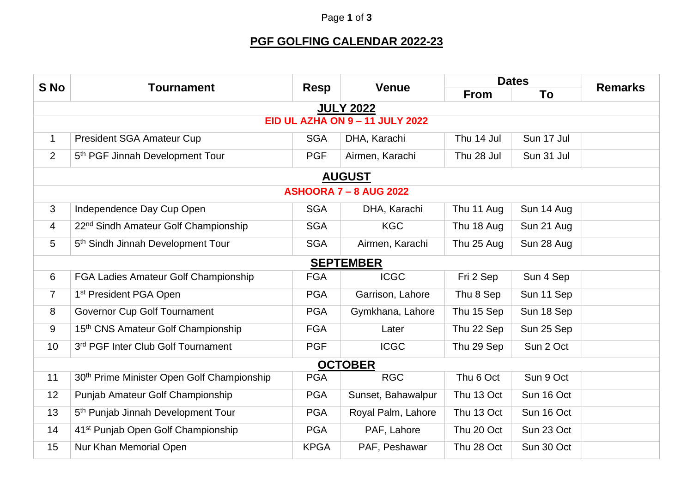## Page **1** of **3**

## **PGF GOLFING CALENDAR 2022-23**

|                                        | <b>Tournament</b>                                      | <b>Resp</b> | <b>Venue</b>       | <b>Dates</b> |            |                |  |  |
|----------------------------------------|--------------------------------------------------------|-------------|--------------------|--------------|------------|----------------|--|--|
| S No                                   |                                                        |             |                    | <b>From</b>  | To         | <b>Remarks</b> |  |  |
| <b>JULY 2022</b>                       |                                                        |             |                    |              |            |                |  |  |
| <b>EID UL AZHA ON 9 - 11 JULY 2022</b> |                                                        |             |                    |              |            |                |  |  |
| $\mathbf{1}$                           | <b>President SGA Amateur Cup</b>                       | <b>SGA</b>  | DHA, Karachi       | Thu 14 Jul   | Sun 17 Jul |                |  |  |
| $\overline{2}$                         | 5 <sup>th</sup> PGF Jinnah Development Tour            | <b>PGF</b>  | Airmen, Karachi    | Thu 28 Jul   | Sun 31 Jul |                |  |  |
| <b>AUGUST</b>                          |                                                        |             |                    |              |            |                |  |  |
| <b>ASHOORA 7 - 8 AUG 2022</b>          |                                                        |             |                    |              |            |                |  |  |
| 3                                      | Independence Day Cup Open                              | <b>SGA</b>  | DHA, Karachi       | Thu 11 Aug   | Sun 14 Aug |                |  |  |
| 4                                      | 22 <sup>nd</sup> Sindh Amateur Golf Championship       | <b>SGA</b>  | <b>KGC</b>         | Thu 18 Aug   | Sun 21 Aug |                |  |  |
| 5                                      | 5 <sup>th</sup> Sindh Jinnah Development Tour          | <b>SGA</b>  | Airmen, Karachi    | Thu 25 Aug   | Sun 28 Aug |                |  |  |
| <b>SEPTEMBER</b>                       |                                                        |             |                    |              |            |                |  |  |
| 6                                      | FGA Ladies Amateur Golf Championship                   | <b>FGA</b>  | <b>ICGC</b>        | Fri 2 Sep    | Sun 4 Sep  |                |  |  |
| $\overline{7}$                         | 1 <sup>st</sup> President PGA Open                     | <b>PGA</b>  | Garrison, Lahore   | Thu 8 Sep    | Sun 11 Sep |                |  |  |
| 8                                      | Governor Cup Golf Tournament                           | <b>PGA</b>  | Gymkhana, Lahore   | Thu 15 Sep   | Sun 18 Sep |                |  |  |
| 9                                      | 15th CNS Amateur Golf Championship                     | <b>FGA</b>  | Later              | Thu 22 Sep   | Sun 25 Sep |                |  |  |
| 10                                     | 3rd PGF Inter Club Golf Tournament                     | <b>PGF</b>  | <b>ICGC</b>        | Thu 29 Sep   | Sun 2 Oct  |                |  |  |
| <b>OCTOBER</b>                         |                                                        |             |                    |              |            |                |  |  |
| 11                                     | 30 <sup>th</sup> Prime Minister Open Golf Championship | <b>PGA</b>  | <b>RGC</b>         | Thu 6 Oct    | Sun 9 Oct  |                |  |  |
| 12                                     | Punjab Amateur Golf Championship                       | <b>PGA</b>  | Sunset, Bahawalpur | Thu 13 Oct   | Sun 16 Oct |                |  |  |
| 13                                     | 5 <sup>th</sup> Punjab Jinnah Development Tour         | <b>PGA</b>  | Royal Palm, Lahore | Thu 13 Oct   | Sun 16 Oct |                |  |  |
| 14                                     | 41 <sup>st</sup> Punjab Open Golf Championship         | <b>PGA</b>  | PAF, Lahore        | Thu 20 Oct   | Sun 23 Oct |                |  |  |
| 15                                     | Nur Khan Memorial Open                                 | <b>KPGA</b> | PAF, Peshawar      | Thu 28 Oct   | Sun 30 Oct |                |  |  |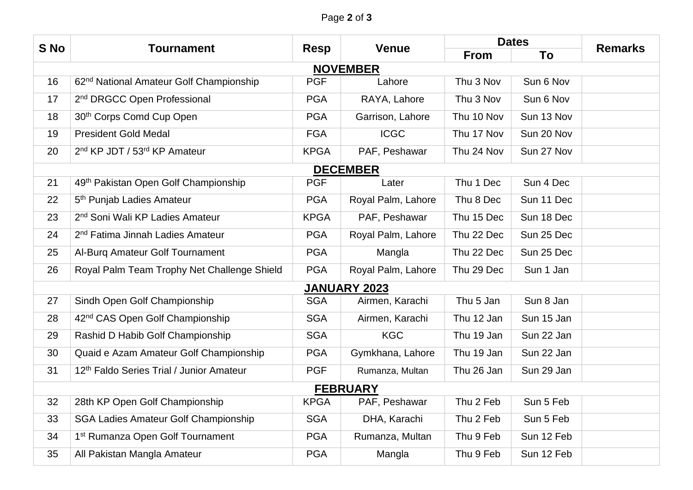## Page **2** of **3**

| S No                | <b>Tournament</b>                                    | <b>Resp</b> | <b>Venue</b>       | <b>Dates</b> |            | <b>Remarks</b> |  |  |
|---------------------|------------------------------------------------------|-------------|--------------------|--------------|------------|----------------|--|--|
|                     |                                                      |             |                    | <b>From</b>  | To         |                |  |  |
| <b>NOVEMBER</b>     |                                                      |             |                    |              |            |                |  |  |
| 16                  | 62 <sup>nd</sup> National Amateur Golf Championship  | <b>PGF</b>  | Lahore             | Thu 3 Nov    | Sun 6 Nov  |                |  |  |
| 17                  | 2 <sup>nd</sup> DRGCC Open Professional              | <b>PGA</b>  | RAYA, Lahore       | Thu 3 Nov    | Sun 6 Nov  |                |  |  |
| 18                  | 30 <sup>th</sup> Corps Comd Cup Open                 | <b>PGA</b>  | Garrison, Lahore   | Thu 10 Nov   | Sun 13 Nov |                |  |  |
| 19                  | <b>President Gold Medal</b>                          | <b>FGA</b>  | <b>ICGC</b>        | Thu 17 Nov   | Sun 20 Nov |                |  |  |
| 20                  | 2 <sup>nd</sup> KP JDT / 53 <sup>rd</sup> KP Amateur | <b>KPGA</b> | PAF, Peshawar      | Thu 24 Nov   | Sun 27 Nov |                |  |  |
| <b>DECEMBER</b>     |                                                      |             |                    |              |            |                |  |  |
| 21                  | 49th Pakistan Open Golf Championship                 | <b>PGF</b>  | Later              | Thu 1 Dec    | Sun 4 Dec  |                |  |  |
| 22                  | 5 <sup>th</sup> Punjab Ladies Amateur                | <b>PGA</b>  | Royal Palm, Lahore | Thu 8 Dec    | Sun 11 Dec |                |  |  |
| 23                  | 2 <sup>nd</sup> Soni Wali KP Ladies Amateur          | <b>KPGA</b> | PAF, Peshawar      | Thu 15 Dec   | Sun 18 Dec |                |  |  |
| 24                  | 2 <sup>nd</sup> Fatima Jinnah Ladies Amateur         | <b>PGA</b>  | Royal Palm, Lahore | Thu 22 Dec   | Sun 25 Dec |                |  |  |
| 25                  | Al-Burg Amateur Golf Tournament                      | <b>PGA</b>  | Mangla             | Thu 22 Dec   | Sun 25 Dec |                |  |  |
| 26                  | Royal Palm Team Trophy Net Challenge Shield          | <b>PGA</b>  | Royal Palm, Lahore | Thu 29 Dec   | Sun 1 Jan  |                |  |  |
| <b>JANUARY 2023</b> |                                                      |             |                    |              |            |                |  |  |
| 27                  | Sindh Open Golf Championship                         | <b>SGA</b>  | Airmen, Karachi    | Thu 5 Jan    | Sun 8 Jan  |                |  |  |
| 28                  | 42 <sup>nd</sup> CAS Open Golf Championship          | <b>SGA</b>  | Airmen, Karachi    | Thu 12 Jan   | Sun 15 Jan |                |  |  |
| 29                  | Rashid D Habib Golf Championship                     | <b>SGA</b>  | <b>KGC</b>         | Thu 19 Jan   | Sun 22 Jan |                |  |  |
| 30                  | Quaid e Azam Amateur Golf Championship               | <b>PGA</b>  | Gymkhana, Lahore   | Thu 19 Jan   | Sun 22 Jan |                |  |  |
| 31                  | 12th Faldo Series Trial / Junior Amateur             | <b>PGF</b>  | Rumanza, Multan    | Thu 26 Jan   | Sun 29 Jan |                |  |  |
| <b>FEBRUARY</b>     |                                                      |             |                    |              |            |                |  |  |
| 32                  | 28th KP Open Golf Championship                       | <b>KPGA</b> | PAF, Peshawar      | Thu 2 Feb    | Sun 5 Feb  |                |  |  |
| 33                  | <b>SGA Ladies Amateur Golf Championship</b>          | <b>SGA</b>  | DHA, Karachi       | Thu 2 Feb    | Sun 5 Feb  |                |  |  |
| 34                  | 1 <sup>st</sup> Rumanza Open Golf Tournament         | <b>PGA</b>  | Rumanza, Multan    | Thu 9 Feb    | Sun 12 Feb |                |  |  |
| 35                  | All Pakistan Mangla Amateur                          | <b>PGA</b>  | Mangla             | Thu 9 Feb    | Sun 12 Feb |                |  |  |